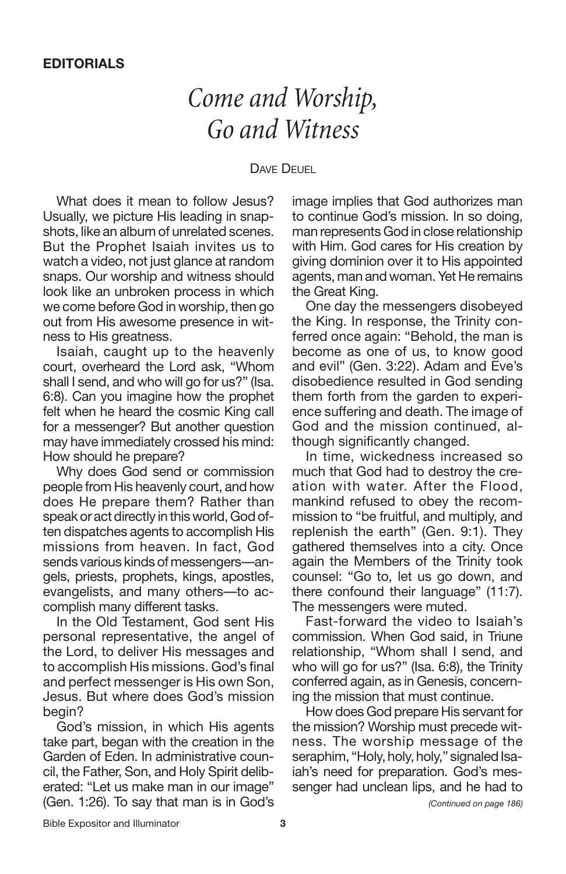## *Come and Worship, Go and Witness*

### DAVE DEUEL

What does it mean to follow Jesus? Usually, we picture His leading in snapshots, like an album of unrelated scenes. But the Prophet Isaiah invites us to watch a video, not just glance at random snaps. Our worship and witness should look like an unbroken process in which we come before God in worship, then go out from His awesome presence in witness to His greatness.

Isaiah, caught up to the heavenly court, overheard the Lord ask, "Whom shall I send, and who will go for us?" (Isa. 6:8). Can you imagine how the prophet felt when he heard the cosmic King call for a messenger? But another question may have immediately crossed his mind: How should he prepare?

Why does God send or commission people from His heavenly court, and how does He prepare them? Rather than speak or act directly in this world, God often dispatches agents to accomplish His missions from heaven. In fact, God sends various kinds of messengers—angels, priests, prophets, kings, apostles, evangelists, and many others—to accomplish many different tasks.

In the Old Testament, God sent His personal representative, the angel of the Lord, to deliver His messages and to accomplish His missions. God's final and perfect messenger is His own Son, Jesus. But where does God's mission begin?

God's mission, in which His agents take part, began with the creation in the Garden of Eden. In administrative council, the Father, Son, and Holy Spirit deliberated: "Let us make man in our image" (Gen. 1:26). To say that man is in God's image implies that God authorizes man to continue God's mission. In so doing, man represents God in close relationship with Him. God cares for His creation by giving dominion over it to His appointed agents, man and woman. Yet He remains the Great King.

One day the messengers disobeyed the King. In response, the Trinity conferred once again: "Behold, the man is become as one of us, to know good and evil" (Gen. 3:22). Adam and Eve's disobedience resulted in God sending them forth from the garden to experience suffering and death. The image of God and the mission continued, although significantly changed.

In time, wickedness increased so much that God had to destroy the creation with water. After the Flood, mankind refused to obey the recommission to "be fruitful, and multiply, and replenish the earth" (Gen. 9:1). They gathered themselves into a city. Once again the Members of the Trinity took counsel: "Go to, let us go down, and there confound their language" (11:7). The messengers were muted.

Fast-forward the video to Isaiah's commission. When God said, in Triune relationship, "Whom shall I send, and who will go for us?" (Isa. 6:8), the Trinity conferred again, as in Genesis, concerning the mission that must continue.

How does God prepare His servant for the mission? Worship must precede witness. The worship message of the seraphim, "Holy, holy, holy," signaled Isaiah's need for preparation. God's messenger had unclean lips, and he had to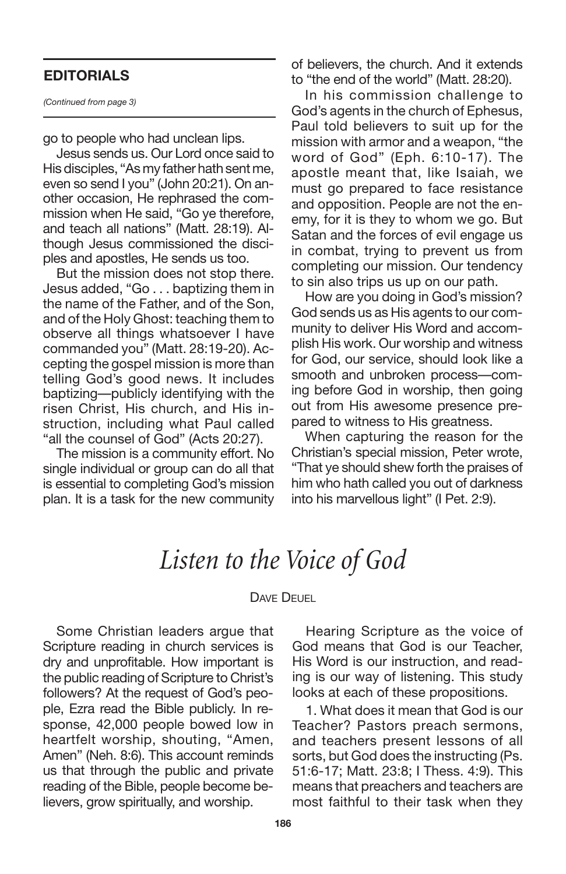### **EDITORIALS**

*(Continued from page 3)*

go to people who had unclean lips.

Jesus sends us. Our Lord once said to His disciples, "As my father hath sent me, even so send I you" (John 20:21). On another occasion, He rephrased the commission when He said, "Go ye therefore, and teach all nations" (Matt. 28:19). Although Jesus commissioned the disciples and apostles, He sends us too.

But the mission does not stop there. Jesus added, "Go . . . baptizing them in the name of the Father, and of the Son, and of the Holy Ghost: teaching them to observe all things whatsoever I have commanded you" (Matt. 28:19-20). Accepting the gospel mission is more than telling God's good news. It includes baptizing—publicly identifying with the risen Christ, His church, and His instruction, including what Paul called "all the counsel of God" (Acts 20:27).

The mission is a community effort. No single individual or group can do all that is essential to completing God's mission plan. It is a task for the new community

of believers, the church. And it extends to "the end of the world" (Matt. 28:20).

In his commission challenge to God's agents in the church of Ephesus, Paul told believers to suit up for the mission with armor and a weapon, "the word of God" (Eph. 6:10-17). The apostle meant that, like Isaiah, we must go prepared to face resistance and opposition. People are not the enemy, for it is they to whom we go. But Satan and the forces of evil engage us in combat, trying to prevent us from completing our mission. Our tendency to sin also trips us up on our path.

How are you doing in God's mission? God sends us as His agents to our community to deliver His Word and accomplish His work. Our worship and witness for God, our service, should look like a smooth and unbroken process—coming before God in worship, then going out from His awesome presence prepared to witness to His greatness.

When capturing the reason for the Christian's special mission, Peter wrote, "That ye should shew forth the praises of him who hath called you out of darkness into his marvellous light" (I Pet. 2:9).

### *Listen to the Voice of God*

#### DAVE DEUEL

Some Christian leaders argue that Scripture reading in church services is dry and unprofitable. How important is the public reading of Scripture to Christ's followers? At the request of God's people, Ezra read the Bible publicly. In response, 42,000 people bowed low in heartfelt worship, shouting, "Amen, Amen" (Neh. 8:6). This account reminds us that through the public and private reading of the Bible, people become believers, grow spiritually, and worship.

Hearing Scripture as the voice of God means that God is our Teacher, His Word is our instruction, and reading is our way of listening. This study looks at each of these propositions.

1. What does it mean that God is our Teacher? Pastors preach sermons, and teachers present lessons of all sorts, but God does the instructing (Ps. 51:6-17; Matt. 23:8; I Thess. 4:9). This means that preachers and teachers are most faithful to their task when they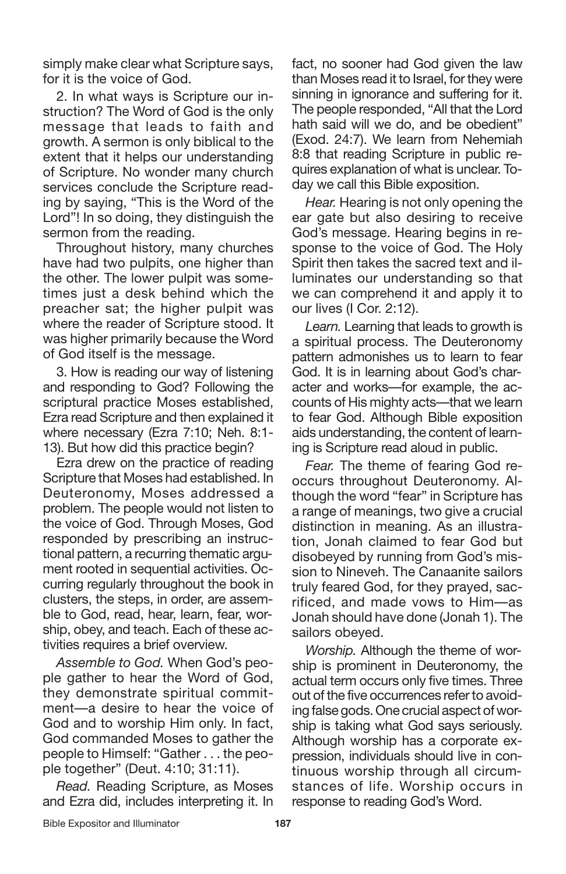simply make clear what Scripture says, for it is the voice of God.

2. In what ways is Scripture our instruction? The Word of God is the only message that leads to faith and growth. A sermon is only biblical to the extent that it helps our understanding of Scripture. No wonder many church services conclude the Scripture reading by saying, "This is the Word of the Lord"! In so doing, they distinguish the sermon from the reading.

Throughout history, many churches have had two pulpits, one higher than the other. The lower pulpit was sometimes just a desk behind which the preacher sat; the higher pulpit was where the reader of Scripture stood. It was higher primarily because the Word of God itself is the message.

3. How is reading our way of listening and responding to God? Following the scriptural practice Moses established, Ezra read Scripture and then explained it where necessary (Ezra 7:10; Neh. 8:1- 13). But how did this practice begin?

Ezra drew on the practice of reading Scripture that Moses had established. In Deuteronomy, Moses addressed a problem. The people would not listen to the voice of God. Through Moses, God responded by prescribing an instructional pattern, a recurring thematic argument rooted in sequential activities. Occurring regularly throughout the book in clusters, the steps, in order, are assemble to God, read, hear, learn, fear, worship, obey, and teach. Each of these activities requires a brief overview.

*Assemble to God.* When God's people gather to hear the Word of God, they demonstrate spiritual commitment—a desire to hear the voice of God and to worship Him only. In fact, God commanded Moses to gather the people to Himself: "Gather . . . the people together" (Deut. 4:10; 31:11).

*Read.* Reading Scripture, as Moses and Ezra did, includes interpreting it. In fact, no sooner had God given the law than Moses read it to Israel, forthey were sinning in ignorance and suffering for it. The people responded, "All that the Lord hath said will we do, and be obedient" (Exod. 24:7). We learn from Nehemiah 8:8 that reading Scripture in public requires explanation of what is unclear. Today we call this Bible exposition.

*Hear.* Hearing is not only opening the ear gate but also desiring to receive God's message. Hearing begins in response to the voice of God. The Holy Spirit then takes the sacred text and illuminates our understanding so that we can comprehend it and apply it to our lives (I Cor. 2:12).

*Learn.* Learning that leads to growth is a spiritual process. The Deuteronomy pattern admonishes us to learn to fear God. It is in learning about God's character and works—for example, the accounts of His mighty acts—that we learn to fear God. Although Bible exposition aids understanding, the content of learning is Scripture read aloud in public.

*Fear.* The theme of fearing God reoccurs throughout Deuteronomy. Although the word "fear" in Scripture has a range of meanings, two give a crucial distinction in meaning. As an illustration, Jonah claimed to fear God but disobeyed by running from God's mission to Nineveh. The Canaanite sailors truly feared God, for they prayed, sacrificed, and made vows to Him—as Jonah should have done (Jonah 1). The sailors obeyed.

*Worship.* Although the theme of worship is prominent in Deuteronomy, the actual term occurs only five times. Three out of the five occurrences refer to avoiding false gods. One crucial aspect of worship is taking what God says seriously. Although worship has a corporate expression, individuals should live in continuous worship through all circumstances of life. Worship occurs in response to reading God's Word.